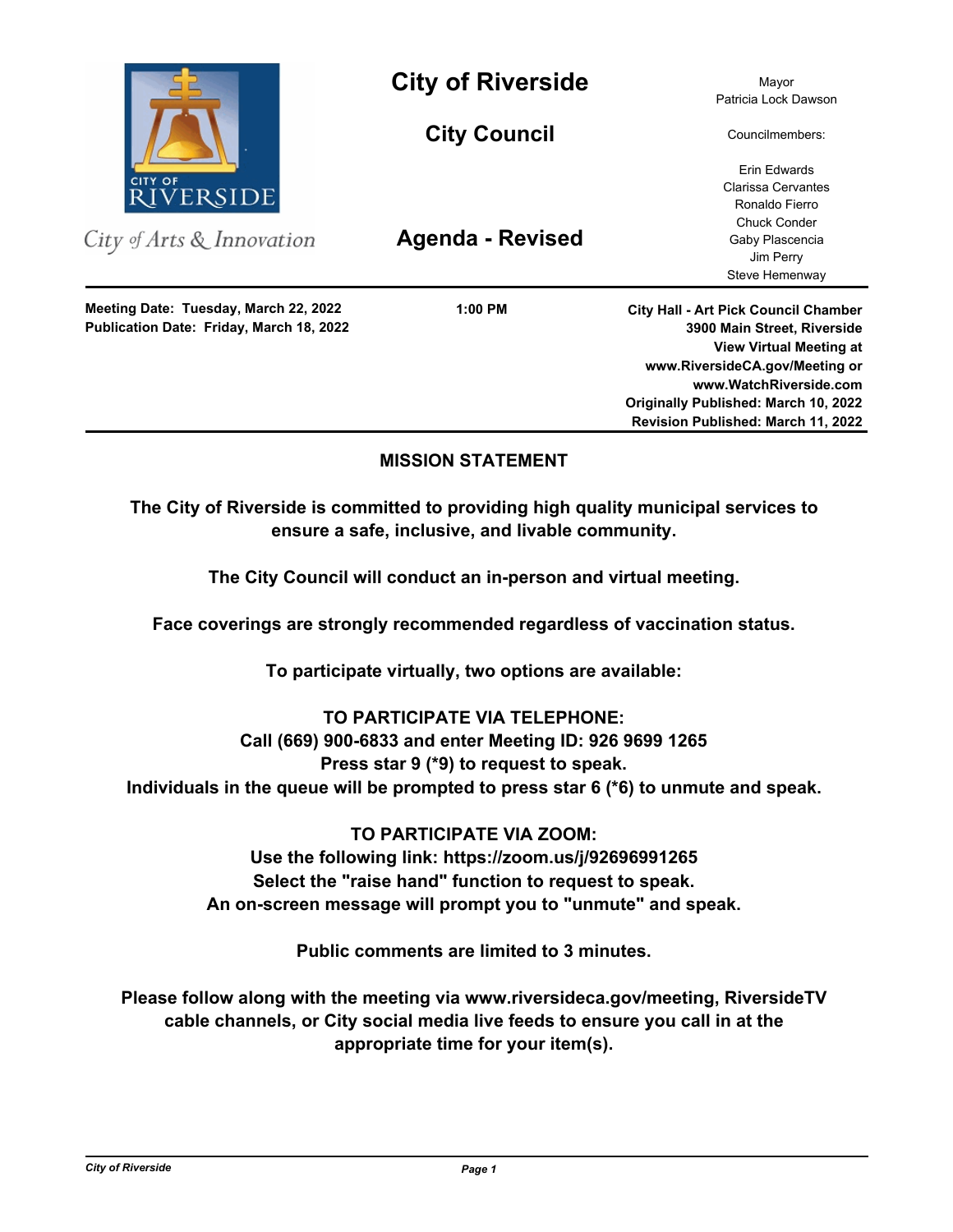

City of Arts & Innovation

**Publication Date: Friday, March 18, 2022 Meeting Date: Tuesday, March 22, 2022**

**City of Riverside** Mayor

**City Council**

**Agenda - Revised**

**1:00 PM**

Patricia Lock Dawson

Councilmembers:

Erin Edwards Clarissa Cervantes Ronaldo Fierro Chuck Conder Gaby Plascencia Jim Perry Steve Hemenway

**City Hall - Art Pick Council Chamber 3900 Main Street, Riverside View Virtual Meeting at www.RiversideCA.gov/Meeting or www.WatchRiverside.com Originally Published: March 10, 2022 Revision Published: March 11, 2022**

# **MISSION STATEMENT**

**The City of Riverside is committed to providing high quality municipal services to ensure a safe, inclusive, and livable community.**

**The City Council will conduct an in-person and virtual meeting.** 

**Face coverings are strongly recommended regardless of vaccination status.**

**To participate virtually, two options are available:** 

**TO PARTICIPATE VIA TELEPHONE:** 

## **Call (669) 900-6833 and enter Meeting ID: 926 9699 1265**

**Press star 9 (\*9) to request to speak.** 

**Individuals in the queue will be prompted to press star 6 (\*6) to unmute and speak.**

**TO PARTICIPATE VIA ZOOM: Use the following link: https://zoom.us/j/92696991265 Select the "raise hand" function to request to speak. An on-screen message will prompt you to "unmute" and speak.**

**Public comments are limited to 3 minutes.**

**Please follow along with the meeting via www.riversideca.gov/meeting, RiversideTV cable channels, or City social media live feeds to ensure you call in at the appropriate time for your item(s).**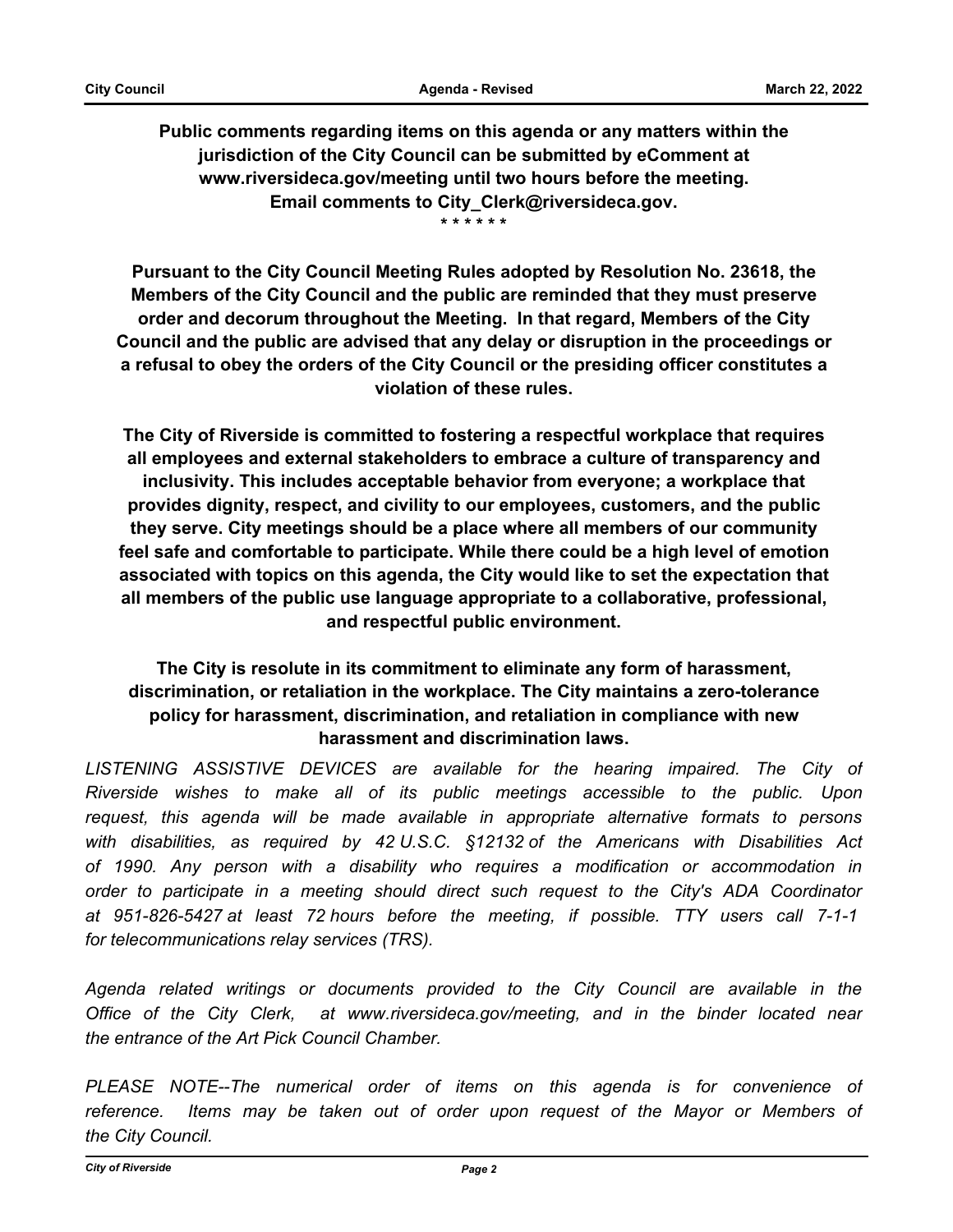**Public comments regarding items on this agenda or any matters within the jurisdiction of the City Council can be submitted by eComment at www.riversideca.gov/meeting until two hours before the meeting. Email comments to City\_Clerk@riversideca.gov. \* \* \* \* \* \***

**Pursuant to the City Council Meeting Rules adopted by Resolution No. 23618, the Members of the City Council and the public are reminded that they must preserve order and decorum throughout the Meeting. In that regard, Members of the City Council and the public are advised that any delay or disruption in the proceedings or a refusal to obey the orders of the City Council or the presiding officer constitutes a violation of these rules.**

**The City of Riverside is committed to fostering a respectful workplace that requires all employees and external stakeholders to embrace a culture of transparency and inclusivity. This includes acceptable behavior from everyone; a workplace that provides dignity, respect, and civility to our employees, customers, and the public they serve. City meetings should be a place where all members of our community feel safe and comfortable to participate. While there could be a high level of emotion associated with topics on this agenda, the City would like to set the expectation that all members of the public use language appropriate to a collaborative, professional, and respectful public environment.**

# **The City is resolute in its commitment to eliminate any form of harassment, discrimination, or retaliation in the workplace. The City maintains a zero-tolerance policy for harassment, discrimination, and retaliation in compliance with new harassment and discrimination laws.**

LISTENING ASSISTIVE DEVICES are available for the hearing impaired. The City of *Riverside wishes to make all of its public meetings accessible to the public. Upon request, this agenda will be made available in appropriate alternative formats to persons with disabilities, as required by 42 U.S.C. §12132 of the Americans with Disabilities Act of 1990. Any person with a disability who requires a modification or accommodation in order to participate in a meeting should direct such request to the City's ADA Coordinator at 951-826-5427 at least 72 hours before the meeting, if possible. TTY users call 7-1-1 for telecommunications relay services (TRS).* 

*Agenda related writings or documents provided to the City Council are available in the Office of the City Clerk, at www.riversideca.gov/meeting, and in the binder located near the entrance of the Art Pick Council Chamber.* 

*PLEASE NOTE--The numerical order of items on this agenda is for convenience of*  reference. Items may be taken out of order upon request of the Mayor or Members of *the City Council.*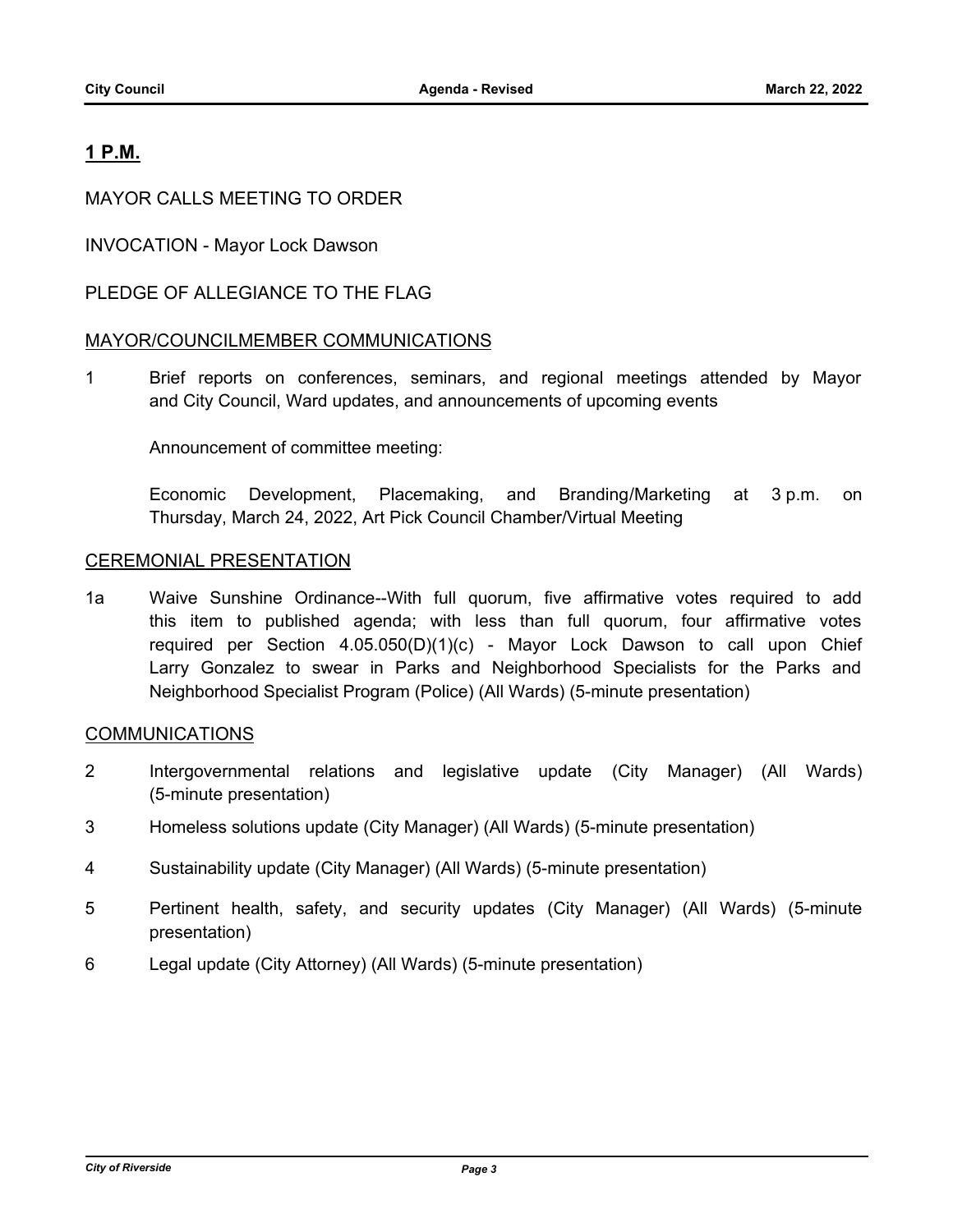# **1 P.M.**

## MAYOR CALLS MEETING TO ORDER

INVOCATION - Mayor Lock Dawson

## PLEDGE OF ALLEGIANCE TO THE FLAG

## MAYOR/COUNCILMEMBER COMMUNICATIONS

1 Brief reports on conferences, seminars, and regional meetings attended by Mayor and City Council, Ward updates, and announcements of upcoming events

Announcement of committee meeting:

Economic Development, Placemaking, and Branding/Marketing at 3 p.m. on Thursday, March 24, 2022, Art Pick Council Chamber/Virtual Meeting

## CEREMONIAL PRESENTATION

1a Waive Sunshine Ordinance--With full quorum, five affirmative votes required to add this item to published agenda; with less than full quorum, four affirmative votes required per Section 4.05.050(D)(1)(c) - Mayor Lock Dawson to call upon Chief Larry Gonzalez to swear in Parks and Neighborhood Specialists for the Parks and Neighborhood Specialist Program (Police) (All Wards) (5-minute presentation)

## COMMUNICATIONS

- 2 Intergovernmental relations and legislative update (City Manager) (All Wards) (5-minute presentation)
- 3 Homeless solutions update (City Manager) (All Wards) (5-minute presentation)
- 4 Sustainability update (City Manager) (All Wards) (5-minute presentation)
- 5 Pertinent health, safety, and security updates (City Manager) (All Wards) (5-minute presentation)
- 6 Legal update (City Attorney) (All Wards) (5-minute presentation)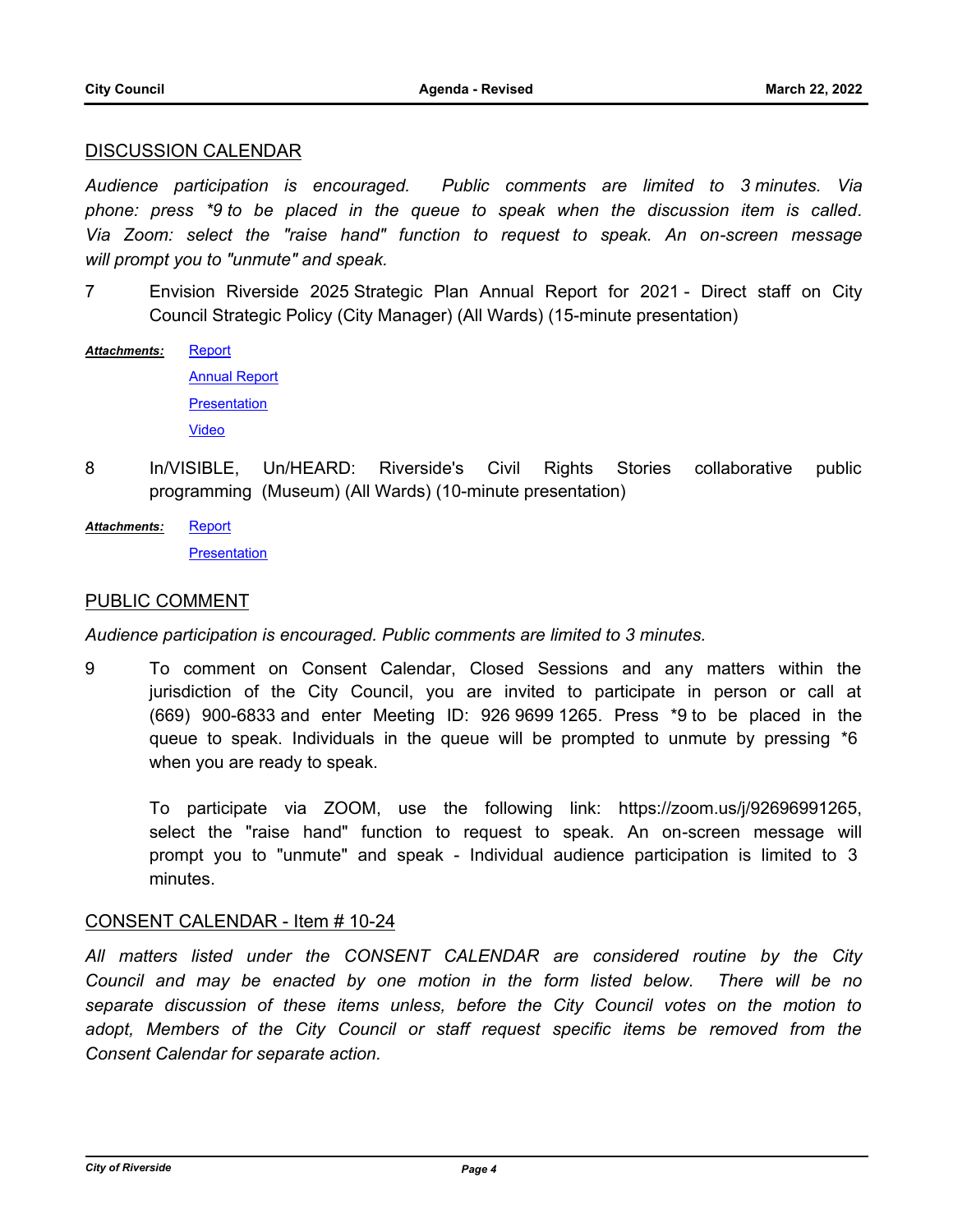## DISCUSSION CALENDAR

*Audience participation is encouraged. Public comments are limited to 3 minutes. Via phone: press \*9 to be placed in the queue to speak when the discussion item is called. Via Zoom: select the "raise hand" function to request to speak. An on-screen message will prompt you to "unmute" and speak.*

- 7 Envision Riverside 2025 Strategic Plan Annual Report for 2021 Direct staff on City Council Strategic Policy (City Manager) (All Wards) (15-minute presentation)
- **[Report](http://riversideca.legistar.com/gateway.aspx?M=F&ID=812bee26-cf96-49bb-8bab-81d52feef1f3.docx)** *Attachments:*

[Annual Report](http://riversideca.legistar.com/gateway.aspx?M=F&ID=f081a9dd-3977-4cf5-91b1-efaee46eeca4.pdf) **[Presentation](http://riversideca.legistar.com/gateway.aspx?M=F&ID=8c02f992-a09d-47cc-bbff-d78071fba8da.pdf)** [Video](http://riversideca.granicus.com/MediaPlayer.php?publish_id=af1a9429-9e76-11ec-8a90-0050569183fa)

- 8 In/VISIBLE, Un/HEARD: Riverside's Civil Rights Stories collaborative public programming (Museum) (All Wards) (10-minute presentation)
- **[Report](http://riversideca.legistar.com/gateway.aspx?M=F&ID=e1f59823-a13c-4731-ba29-4eecaa5b1096.docx) [Presentation](http://riversideca.legistar.com/gateway.aspx?M=F&ID=d494795a-4665-4078-b5a8-693de58522ae.pdf)** *Attachments:*

## PUBLIC COMMENT

## *Audience participation is encouraged. Public comments are limited to 3 minutes.*

9 To comment on Consent Calendar, Closed Sessions and any matters within the jurisdiction of the City Council, you are invited to participate in person or call at (669) 900-6833 and enter Meeting ID: 926 9699 1265. Press \*9 to be placed in the queue to speak. Individuals in the queue will be prompted to unmute by pressing \*6 when you are ready to speak.

To participate via ZOOM, use the following link: https://zoom.us/j/92696991265, select the "raise hand" function to request to speak. An on-screen message will prompt you to "unmute" and speak - Individual audience participation is limited to 3 minutes.

## CONSENT CALENDAR - Item # 10-24

*All matters listed under the CONSENT CALENDAR are considered routine by the City Council and may be enacted by one motion in the form listed below. There will be no separate discussion of these items unless, before the City Council votes on the motion to*  adopt, Members of the City Council or staff request specific items be removed from the *Consent Calendar for separate action.*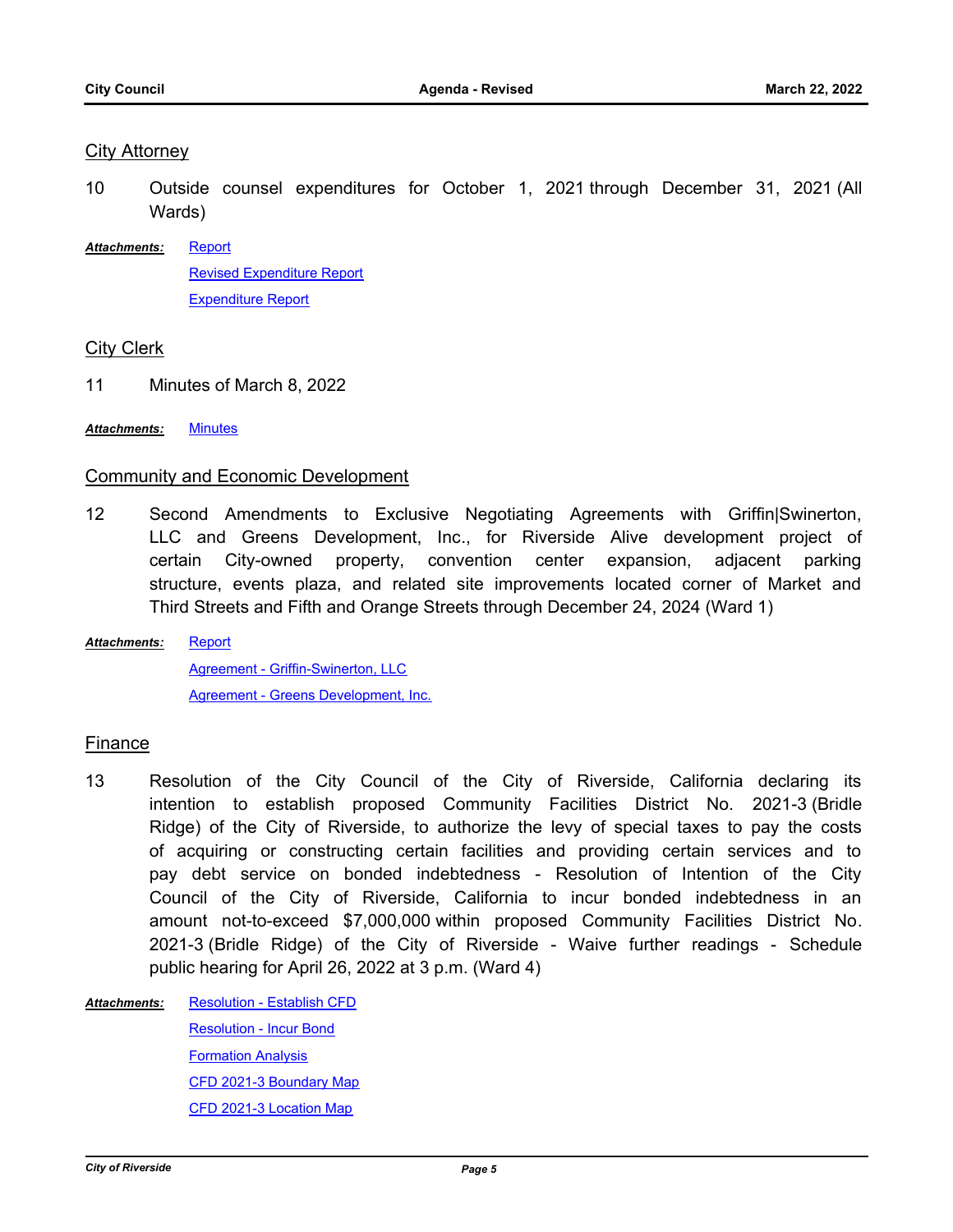#### City Attorney

- 10 Outside counsel expenditures for October 1, 2021 through December 31, 2021 (All Wards)
- [Report](http://riversideca.legistar.com/gateway.aspx?M=F&ID=f8e5066d-8f87-4a4d-b790-b65bd2c14bf2.docx) [Revised Expenditure Report](http://riversideca.legistar.com/gateway.aspx?M=F&ID=c23ac194-b76c-427b-8d8e-7f9cc80a6fd6.pdf) [Expenditure Report](http://riversideca.legistar.com/gateway.aspx?M=F&ID=7f1c4c98-8497-4044-a1cc-fbb17ec94522.pdf) *Attachments:*

## City Clerk

- 11 Minutes of March 8, 2022
- *Attachments:* [Minutes](http://riversideca.legistar.com/gateway.aspx?M=F&ID=a7901779-d63a-4df3-86b4-f454130dc058.pdf)

## Community and Economic Development

12 Second Amendments to Exclusive Negotiating Agreements with Griffin|Swinerton, LLC and Greens Development, Inc., for Riverside Alive development project of certain City-owned property, convention center expansion, adjacent parking structure, events plaza, and related site improvements located corner of Market and Third Streets and Fifth and Orange Streets through December 24, 2024 (Ward 1)

**[Report](http://riversideca.legistar.com/gateway.aspx?M=F&ID=045bb3ff-0ec9-47d3-87d2-4880257dfe64.docx)** [Agreement - Griffin-Swinerton, LLC](http://riversideca.legistar.com/gateway.aspx?M=F&ID=2baf593c-c515-4b5f-8a3f-c2e24f9cafc4.pdf) [Agreement - Greens Development, Inc.](http://riversideca.legistar.com/gateway.aspx?M=F&ID=5893c978-450a-43fa-8332-6eff9f880bb3.pdf) *Attachments:*

## Finance

- 13 Resolution of the City Council of the City of Riverside, California declaring its intention to establish proposed Community Facilities District No. 2021-3 (Bridle Ridge) of the City of Riverside, to authorize the levy of special taxes to pay the costs of acquiring or constructing certain facilities and providing certain services and to pay debt service on bonded indebtedness - Resolution of Intention of the City Council of the City of Riverside, California to incur bonded indebtedness in an amount not-to-exceed \$7,000,000 within proposed Community Facilities District No. 2021-3 (Bridle Ridge) of the City of Riverside - Waive further readings - Schedule public hearing for April 26, 2022 at 3 p.m. (Ward 4)
- [Resolution Establish CFD](http://riversideca.legistar.com/gateway.aspx?M=F&ID=8a975432-718f-4dd6-b9ea-8013d8842cb9.docx) [Resolution - Incur Bond](http://riversideca.legistar.com/gateway.aspx?M=F&ID=1403be93-4da9-4f15-bb13-63376ca149e9.docx) [Formation Analysis](http://riversideca.legistar.com/gateway.aspx?M=F&ID=ac695926-f61b-4f49-8b22-70bb2f43cd23.docx) [CFD 2021-3 Boundary Map](http://riversideca.legistar.com/gateway.aspx?M=F&ID=d9bf763c-0ba5-492a-bd82-670fdd5c65a7.pdf) [CFD 2021-3 Location Map](http://riversideca.legistar.com/gateway.aspx?M=F&ID=9ec9eb64-b5f5-455a-be2b-08a30977de43.pdf) *Attachments:*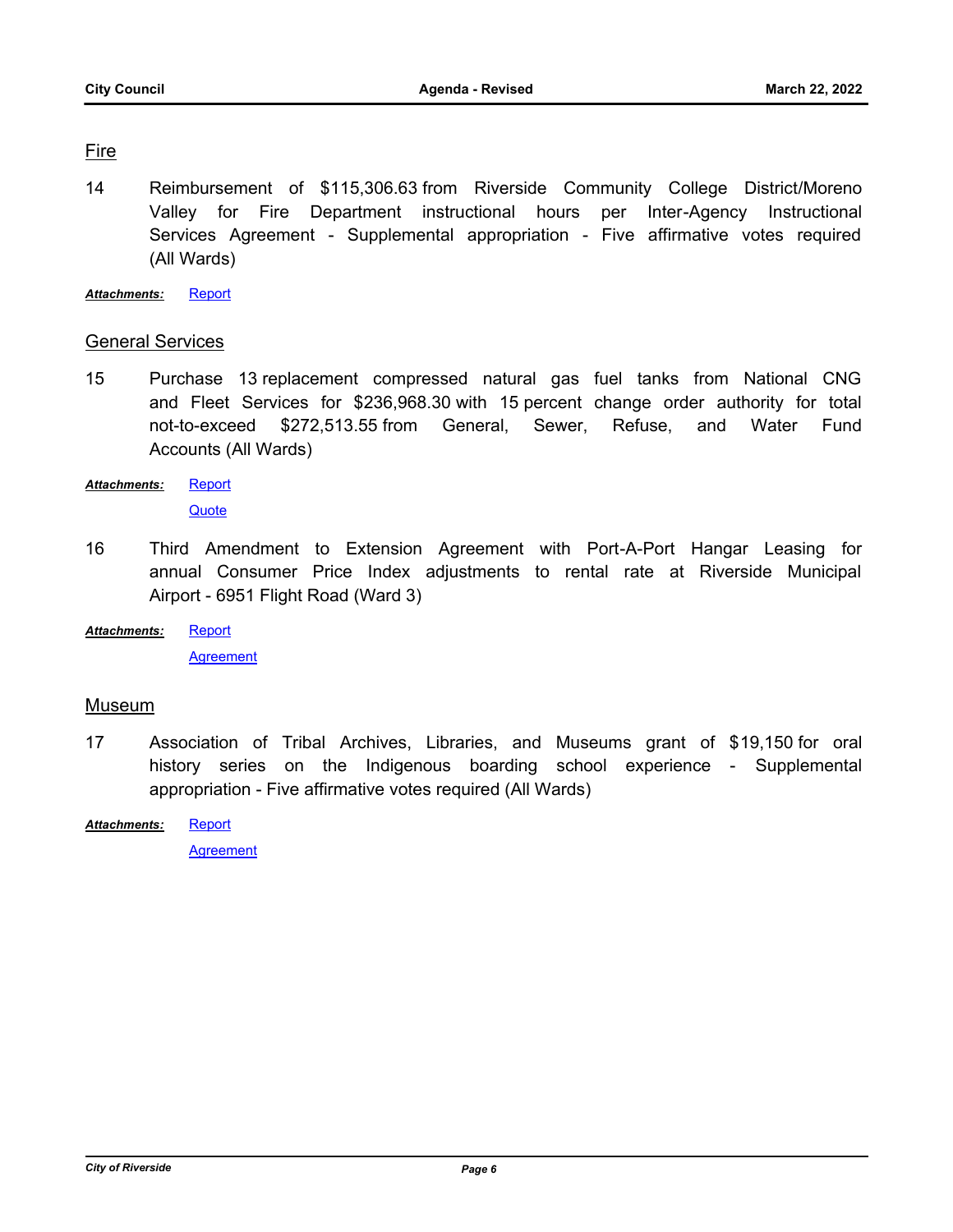## Fire

14 Reimbursement of \$115,306.63 from Riverside Community College District/Moreno Valley for Fire Department instructional hours per Inter-Agency Instructional Services Agreement - Supplemental appropriation - Five affirmative votes required (All Wards)

*Attachments:* [Report](http://riversideca.legistar.com/gateway.aspx?M=F&ID=12a24ad4-3510-423c-8681-5df7564f2771.docx)

## General Services

15 Purchase 13 replacement compressed natural gas fuel tanks from National CNG and Fleet Services for \$236,968.30 with 15 percent change order authority for total not-to-exceed \$272,513.55 from General, Sewer, Refuse, and Water Fund Accounts (All Wards)

[Report](http://riversideca.legistar.com/gateway.aspx?M=F&ID=23384853-80f9-4090-9612-c7aa287b9e8b.docx) *Attachments:*

**[Quote](http://riversideca.legistar.com/gateway.aspx?M=F&ID=3b02facf-d3cf-4fa6-a53e-1852ee59ceaf.pdf)** 

- 16 Third Amendment to Extension Agreement with Port-A-Port Hangar Leasing for annual Consumer Price Index adjustments to rental rate at Riverside Municipal Airport - 6951 Flight Road (Ward 3)
- **[Report](http://riversideca.legistar.com/gateway.aspx?M=F&ID=e4d1ee09-64b0-4e37-ac42-539091b78946.docx)** *Attachments:*

**[Agreement](http://riversideca.legistar.com/gateway.aspx?M=F&ID=09fdc2c9-5a47-47eb-b17a-b395e32d262d.pdf)** 

## Museum

- 17 Association of Tribal Archives, Libraries, and Museums grant of \$19,150 for oral history series on the Indigenous boarding school experience - Supplemental appropriation - Five affirmative votes required (All Wards)
- **[Report](http://riversideca.legistar.com/gateway.aspx?M=F&ID=20ecfbcc-c695-4d32-a059-d28a231a1a41.docx)** *Attachments:*

**[Agreement](http://riversideca.legistar.com/gateway.aspx?M=F&ID=dd401e8f-a0cd-4e67-ac40-5adcd61fc389.pdf)**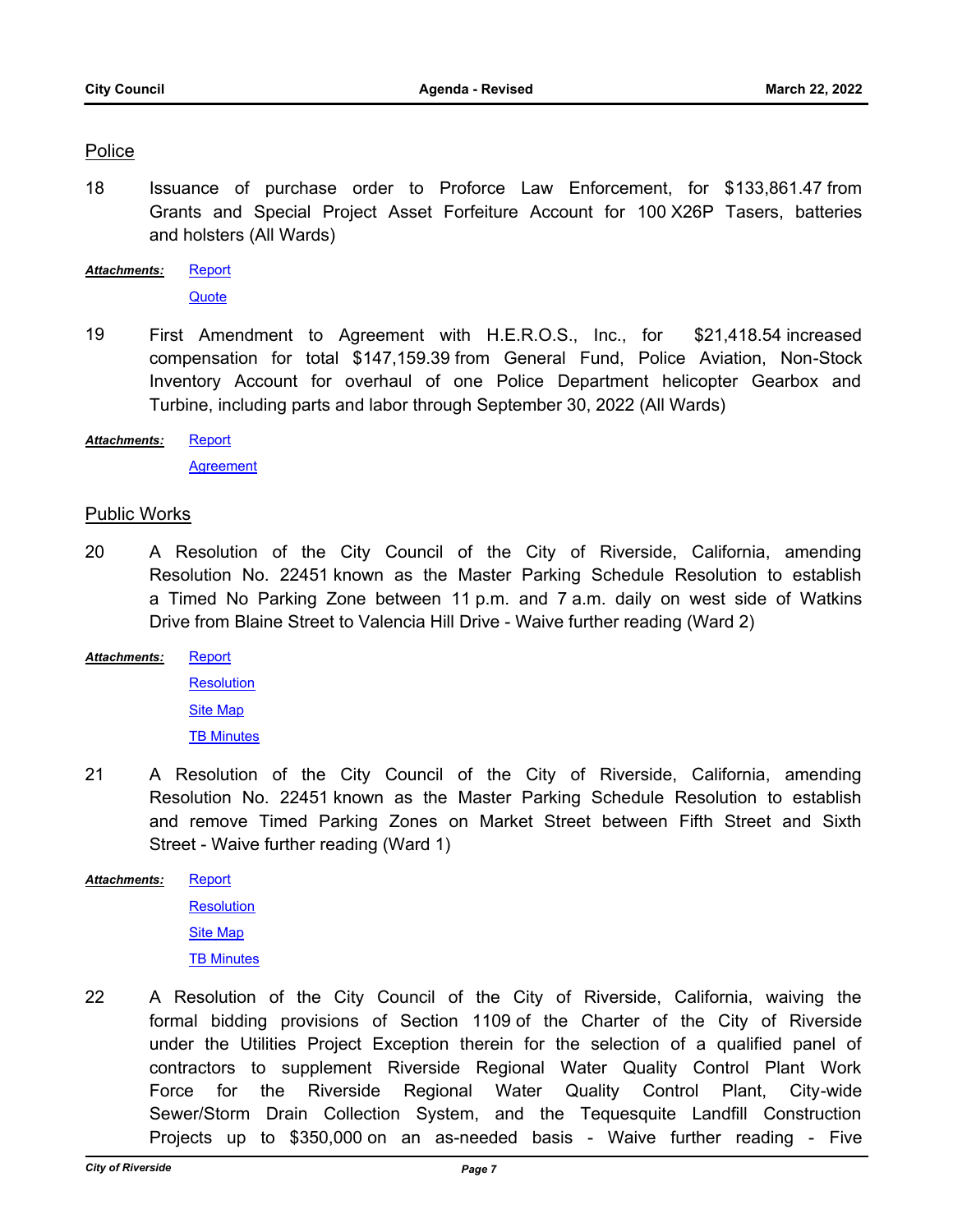#### Police

18 Issuance of purchase order to Proforce Law Enforcement, for \$133,861.47 from Grants and Special Project Asset Forfeiture Account for 100 X26P Tasers, batteries and holsters (All Wards)

[Report](http://riversideca.legistar.com/gateway.aspx?M=F&ID=7e4c504e-d81d-4002-9065-e76877c97d62.docx) **[Quote](http://riversideca.legistar.com/gateway.aspx?M=F&ID=c60e29a4-f365-45dd-8b04-00d376ed9fce.pdf)** *Attachments:*

- 19 First Amendment to Agreement with H.E.R.O.S., Inc., for \$21,418.54 increased compensation for total \$147,159.39 from General Fund, Police Aviation, Non-Stock Inventory Account for overhaul of one Police Department helicopter Gearbox and Turbine, including parts and labor through September 30, 2022 (All Wards)
- **[Report](http://riversideca.legistar.com/gateway.aspx?M=F&ID=1c956a98-93de-4f22-88e4-64ccda9307c3.docx)** *Attachments:*

**[Agreement](http://riversideca.legistar.com/gateway.aspx?M=F&ID=e43aa4c4-7649-40b6-ab0c-cf686f4fb9e3.pdf)** 

#### Public Works

- 20 A Resolution of the City Council of the City of Riverside, California, amending Resolution No. 22451 known as the Master Parking Schedule Resolution to establish a Timed No Parking Zone between 11 p.m. and 7 a.m. daily on west side of Watkins Drive from Blaine Street to Valencia Hill Drive - Waive further reading (Ward 2)
- **[Report](http://riversideca.legistar.com/gateway.aspx?M=F&ID=3187d59e-37e8-47a2-afaf-626b4fb5d80f.docx)** *Attachments:*

**[Resolution](http://riversideca.legistar.com/gateway.aspx?M=F&ID=f3906e22-8959-4020-8938-c8f497075b62.doc)** [Site Map](http://riversideca.legistar.com/gateway.aspx?M=F&ID=bddb7d3c-9c82-4348-b4df-06fc2d74bf41.pptx) **[TB Minutes](http://riversideca.legistar.com/gateway.aspx?M=F&ID=04b0bc00-afaf-4f0a-ad0c-670e395836e6.pdf)** 

21 A Resolution of the City Council of the City of Riverside, California, amending Resolution No. 22451 known as the Master Parking Schedule Resolution to establish and remove Timed Parking Zones on Market Street between Fifth Street and Sixth Street - Waive further reading (Ward 1)

**[Report](http://riversideca.legistar.com/gateway.aspx?M=F&ID=bb6ad6d4-9c54-48b2-bc82-18c633b2c116.docx) [Resolution](http://riversideca.legistar.com/gateway.aspx?M=F&ID=4e3abf76-7923-449b-9970-2896be6b2809.doc)** *Attachments:*

[Site Map](http://riversideca.legistar.com/gateway.aspx?M=F&ID=6b1fc589-eacc-48ab-8f21-c2b969cb1353.pptx) **[TB Minutes](http://riversideca.legistar.com/gateway.aspx?M=F&ID=78d58bb7-f48d-448b-a098-4f8c79b44ba0.pdf)** 

22 A Resolution of the City Council of the City of Riverside, California, waiving the formal bidding provisions of Section 1109 of the Charter of the City of Riverside under the Utilities Project Exception therein for the selection of a qualified panel of contractors to supplement Riverside Regional Water Quality Control Plant Work Force for the Riverside Regional Water Quality Control Plant, City-wide Sewer/Storm Drain Collection System, and the Tequesquite Landfill Construction Projects up to \$350,000 on an as-needed basis - Waive further reading - Five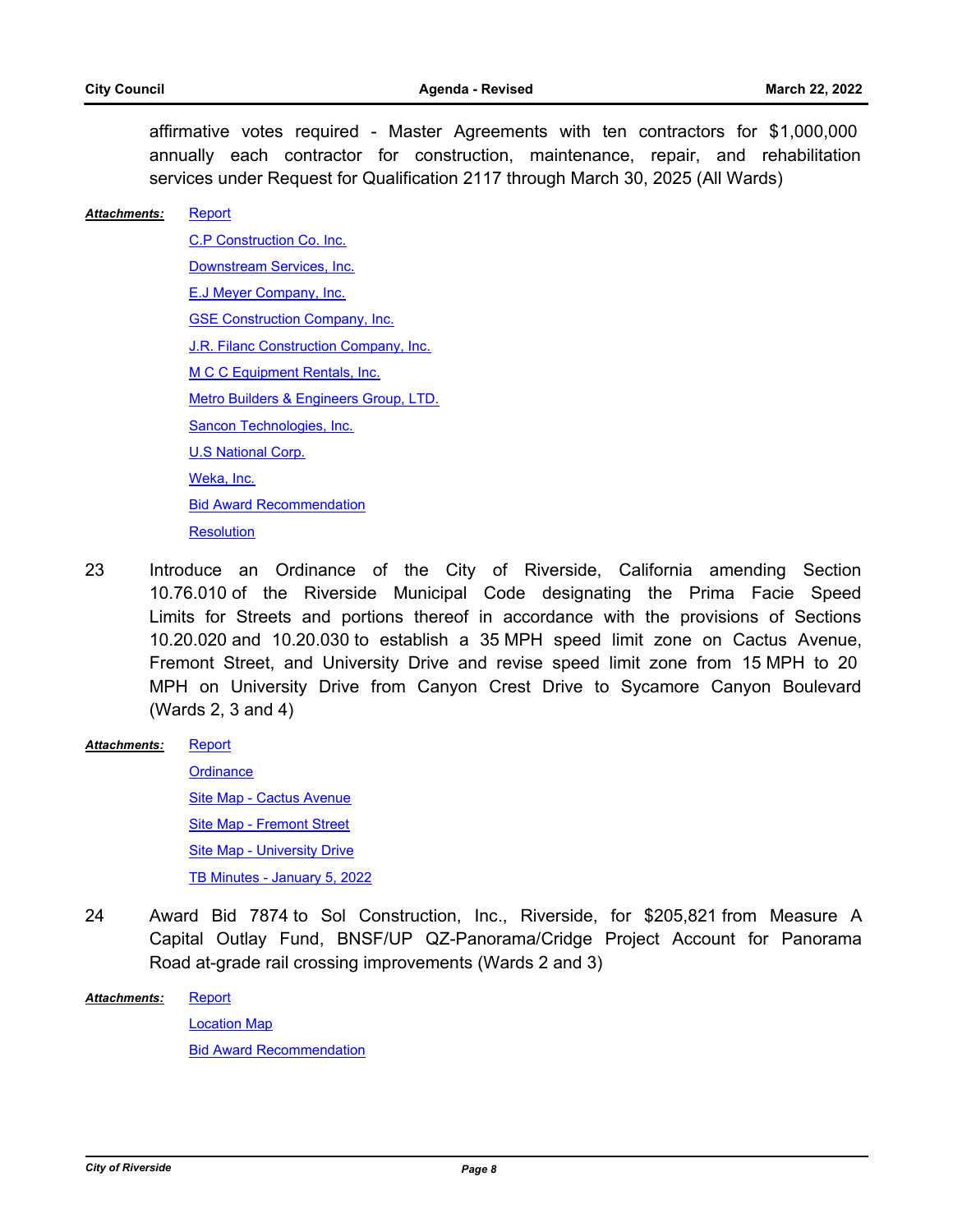affirmative votes required - Master Agreements with ten contractors for \$1,000,000 annually each contractor for construction, maintenance, repair, and rehabilitation services under Request for Qualification 2117 through March 30, 2025 (All Wards)

#### **[Report](http://riversideca.legistar.com/gateway.aspx?M=F&ID=6a25a76b-07b2-4c00-a607-f0cbf06bf211.docx)** *Attachments:*

[C.P Construction Co. Inc.](http://riversideca.legistar.com/gateway.aspx?M=F&ID=ac307ac5-ccd5-4868-8f87-bf1cef45f0aa.pdf) [Downstream Services, Inc.](http://riversideca.legistar.com/gateway.aspx?M=F&ID=edc62536-8977-4523-a91b-9a1317107310.pdf) [E.J Meyer Company, Inc.](http://riversideca.legistar.com/gateway.aspx?M=F&ID=3aab68e3-f1f0-4351-b18b-18f6aeec3214.pdf) [GSE Construction Company, Inc.](http://riversideca.legistar.com/gateway.aspx?M=F&ID=c5861248-9897-45b8-813f-12e56ce63b50.pdf) [J.R. Filanc Construction Company, Inc.](http://riversideca.legistar.com/gateway.aspx?M=F&ID=e5ed3e40-4e37-478d-b4a4-4877fcfbbf22.pdf) [M C C Equipment Rentals, Inc.](http://riversideca.legistar.com/gateway.aspx?M=F&ID=ac812d83-d17b-4850-8e5a-84a613cd05c5.pdf) [Metro Builders & Engineers Group, LTD.](http://riversideca.legistar.com/gateway.aspx?M=F&ID=9145542d-e01a-4f1c-ae12-f62607971843.pdf) [Sancon Technologies, Inc.](http://riversideca.legistar.com/gateway.aspx?M=F&ID=f36eb05c-1562-48e4-a811-310c9eebae68.pdf) [U.S National Corp.](http://riversideca.legistar.com/gateway.aspx?M=F&ID=61bd0f7d-3576-4d90-bdeb-a77756583dd6.pdf) [Weka, Inc.](http://riversideca.legistar.com/gateway.aspx?M=F&ID=db39c927-332a-477c-b926-6cdb3d455b4e.pdf) [Bid Award Recommendation](http://riversideca.legistar.com/gateway.aspx?M=F&ID=b5a98627-9727-426d-939b-16b9b643096e.pdf)

- **[Resolution](http://riversideca.legistar.com/gateway.aspx?M=F&ID=07c8eada-1841-4eb2-80fb-cc60ada81787.doc)**
- 23 Introduce an Ordinance of the City of Riverside, California amending Section 10.76.010 of the Riverside Municipal Code designating the Prima Facie Speed Limits for Streets and portions thereof in accordance with the provisions of Sections 10.20.020 and 10.20.030 to establish a 35 MPH speed limit zone on Cactus Avenue, Fremont Street, and University Drive and revise speed limit zone from 15 MPH to 20 MPH on University Drive from Canyon Crest Drive to Sycamore Canyon Boulevard (Wards 2, 3 and 4)
- **[Report](http://riversideca.legistar.com/gateway.aspx?M=F&ID=a55cf415-980c-4bb6-a07c-9db709395050.docx)** *Attachments:*

**[Ordinance](http://riversideca.legistar.com/gateway.aspx?M=F&ID=1a5aa2f3-2ad0-457d-96dd-4ebdf1edca9b.pdf)** [Site Map - Cactus Avenue](http://riversideca.legistar.com/gateway.aspx?M=F&ID=dd8bf54b-7187-4025-b99f-114fef9c8812.pptx) [Site Map - Fremont Street](http://riversideca.legistar.com/gateway.aspx?M=F&ID=538ebcc5-7354-43af-a8ba-f40ec59e8104.pptx) [Site Map - University Drive](http://riversideca.legistar.com/gateway.aspx?M=F&ID=bebfd317-bce5-4a53-8a12-3a5cdb2a90ad.pptx) [TB Minutes - January 5, 2022](http://riversideca.legistar.com/gateway.aspx?M=F&ID=7b515c6e-1043-46e5-9a3a-a11b57162298.pdf)

24 Award Bid 7874 to Sol Construction, Inc., Riverside, for \$205,821 from Measure A Capital Outlay Fund, BNSF/UP QZ-Panorama/Cridge Project Account for Panorama Road at-grade rail crossing improvements (Wards 2 and 3)

**[Report](http://riversideca.legistar.com/gateway.aspx?M=F&ID=69988f1a-12ea-4c6d-9d92-de5f9286a530.docx)** [Location Map](http://riversideca.legistar.com/gateway.aspx?M=F&ID=af2197f4-c75b-40ea-b18e-a03744d84548.pdf) [Bid Award Recommendation](http://riversideca.legistar.com/gateway.aspx?M=F&ID=83fcb7de-90ef-4ba0-911f-148f9fb1f7f8.pdf) *Attachments:*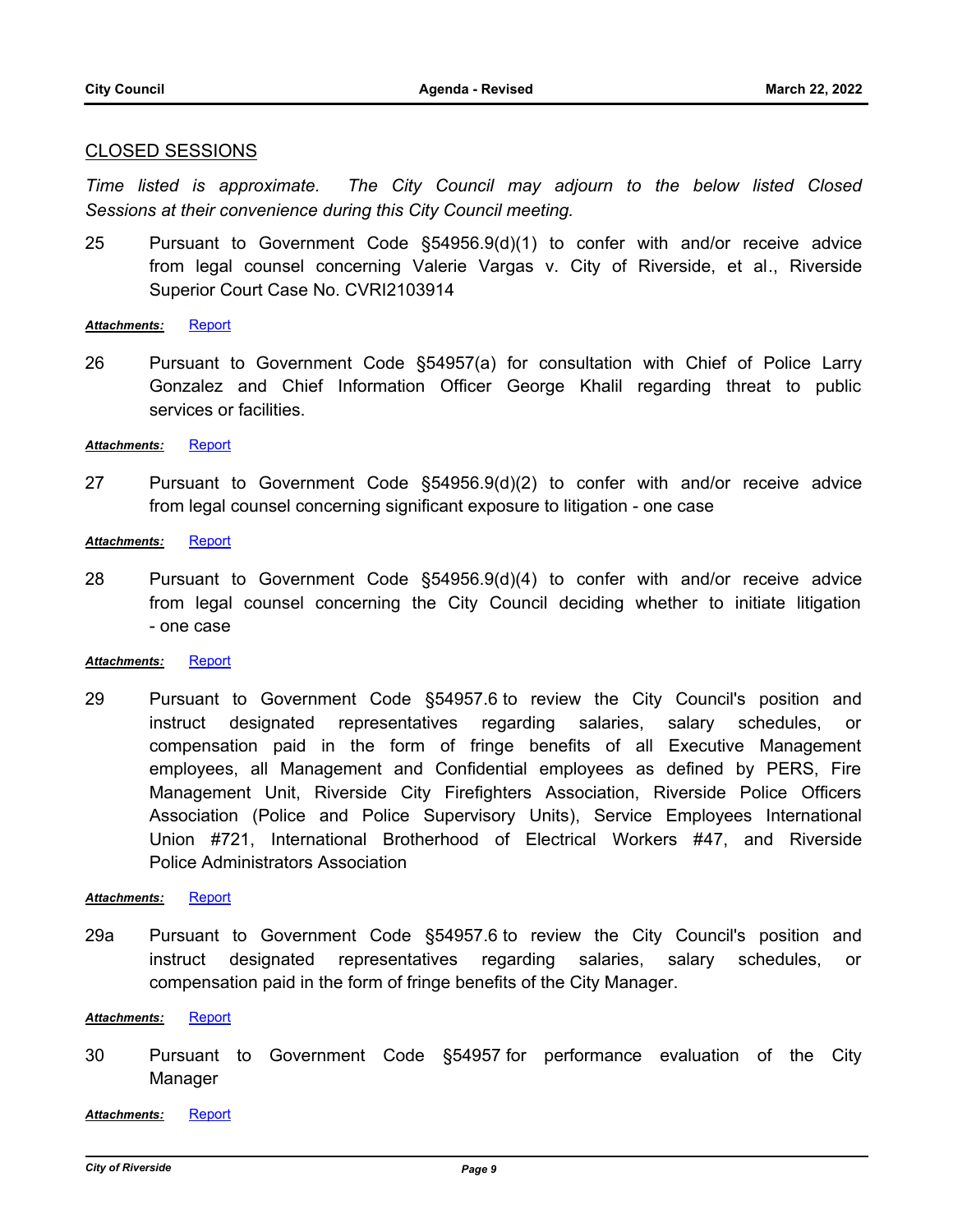#### CLOSED SESSIONS

*Time listed is approximate. The City Council may adjourn to the below listed Closed Sessions at their convenience during this City Council meeting.*

25 Pursuant to Government Code §54956.9(d)(1) to confer with and/or receive advice from legal counsel concerning Valerie Vargas v. City of Riverside, et al., Riverside Superior Court Case No. CVRI2103914

*Attachments:* [Report](http://riversideca.legistar.com/gateway.aspx?M=F&ID=4c1c009e-982a-4b5f-b3d6-2849ab197eaa.doc)

26 Pursuant to Government Code §54957(a) for consultation with Chief of Police Larry Gonzalez and Chief Information Officer George Khalil regarding threat to public services or facilities.

*Attachments:* [Report](http://riversideca.legistar.com/gateway.aspx?M=F&ID=dcf5edd5-711e-4aee-964c-c7bd08c74949.doc)

- 27 Pursuant to Government Code §54956.9(d)(2) to confer with and/or receive advice from legal counsel concerning significant exposure to litigation - one case
- *Attachments:* [Report](http://riversideca.legistar.com/gateway.aspx?M=F&ID=0a375c26-a127-4079-b5e1-142fc7ed95f4.doc)
- 28 Pursuant to Government Code §54956.9(d)(4) to confer with and/or receive advice from legal counsel concerning the City Council deciding whether to initiate litigation - one case

#### *Attachments:* [Report](http://riversideca.legistar.com/gateway.aspx?M=F&ID=1aad9b32-ba14-4dd7-824c-a0e3598389c5.doc)

29 Pursuant to Government Code §54957.6 to review the City Council's position and instruct designated representatives regarding salaries, salary schedules, or compensation paid in the form of fringe benefits of all Executive Management employees, all Management and Confidential employees as defined by PERS, Fire Management Unit, Riverside City Firefighters Association, Riverside Police Officers Association (Police and Police Supervisory Units), Service Employees International Union #721, International Brotherhood of Electrical Workers #47, and Riverside Police Administrators Association

#### *Attachments:* [Report](http://riversideca.legistar.com/gateway.aspx?M=F&ID=983b242f-d90b-4781-b36b-128f3c620d52.docx)

29a Pursuant to Government Code §54957.6 to review the City Council's position and instruct designated representatives regarding salaries, salary schedules, or compensation paid in the form of fringe benefits of the City Manager.

#### *Attachments:* [Report](http://riversideca.legistar.com/gateway.aspx?M=F&ID=71ae7073-02d8-4529-8d9d-ceaf12907334.doc)

30 Pursuant to Government Code §54957 for performance evaluation of the City Manager

*Attachments:* [Report](http://riversideca.legistar.com/gateway.aspx?M=F&ID=2af42232-cf17-4242-a6ae-d50c7d62f1cf.pdf)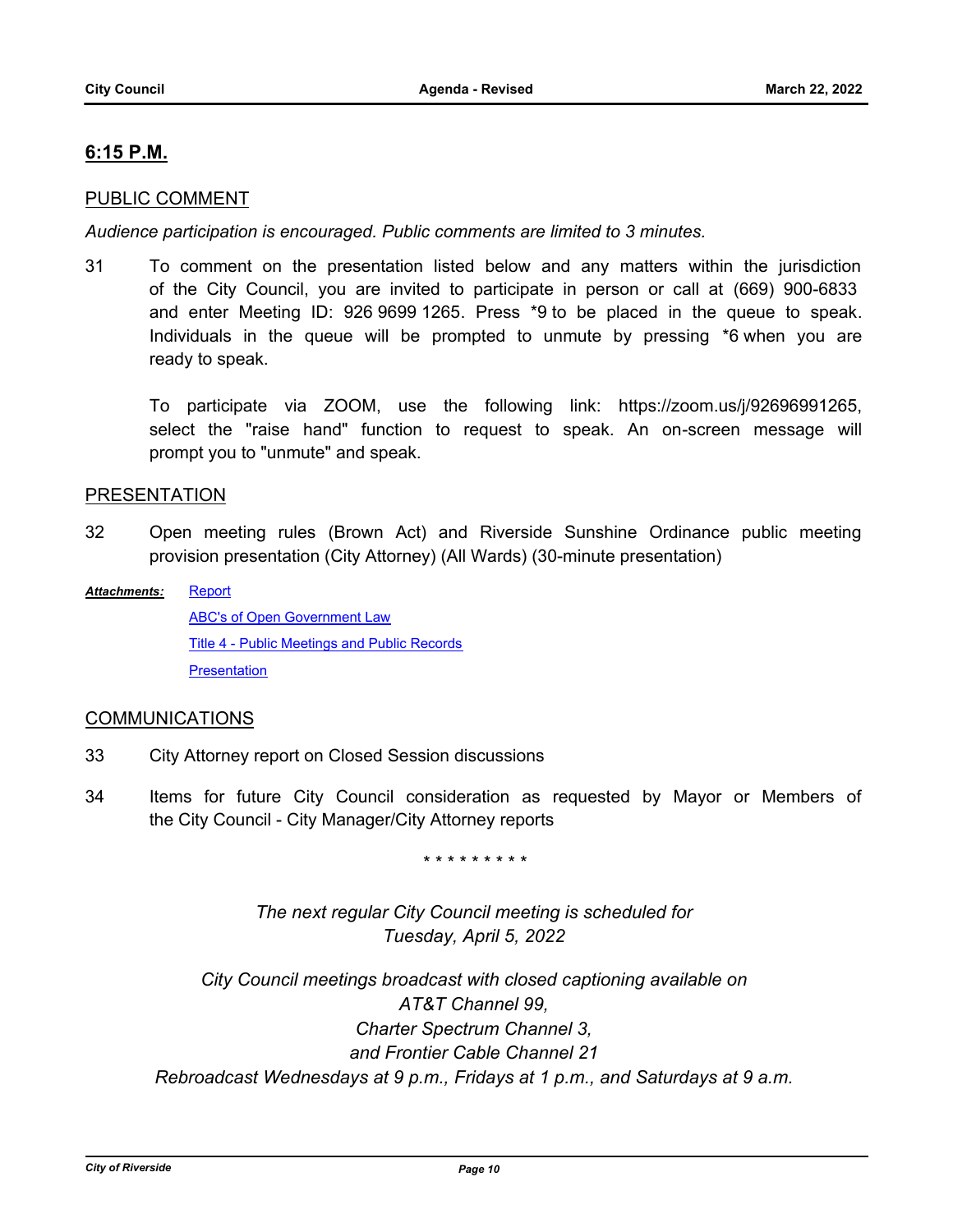## **6:15 P.M.**

## PUBLIC COMMENT

*Audience participation is encouraged. Public comments are limited to 3 minutes.*

31 To comment on the presentation listed below and any matters within the jurisdiction of the City Council, you are invited to participate in person or call at (669) 900-6833 and enter Meeting ID: 926 9699 1265. Press \*9 to be placed in the queue to speak. Individuals in the queue will be prompted to unmute by pressing \*6 when you are ready to speak.

To participate via ZOOM, use the following link: https://zoom.us/j/92696991265, select the "raise hand" function to request to speak. An on-screen message will prompt you to "unmute" and speak.

## PRESENTATION

- 32 Open meeting rules (Brown Act) and Riverside Sunshine Ordinance public meeting provision presentation (City Attorney) (All Wards) (30-minute presentation)
- **[Report](http://riversideca.legistar.com/gateway.aspx?M=F&ID=3bd4813e-6da7-4df9-a105-c09bcd4c90c6.docx)** [ABC's of Open Government Law](http://riversideca.legistar.com/gateway.aspx?M=F&ID=c0fedc31-be54-4c73-943a-e4a8e1799903.pdf) [Title 4 - Public Meetings and Public Records](http://riversideca.legistar.com/gateway.aspx?M=F&ID=9e94dc07-587c-47db-a25e-85bc3c2e915a.pdf) **[Presentation](http://riversideca.legistar.com/gateway.aspx?M=F&ID=e6468ba6-c8aa-42fa-98d2-57e5ed222437.pdf)** *Attachments:*

#### COMMUNICATIONS

- 33 City Attorney report on Closed Session discussions
- 34 Items for future City Council consideration as requested by Mayor or Members of the City Council - City Manager/City Attorney reports

*\* \* \* \* \* \* \* \* \**

*The next regular City Council meeting is scheduled for Tuesday, April 5, 2022*

*City Council meetings broadcast with closed captioning available on AT&T Channel 99, Charter Spectrum Channel 3, and Frontier Cable Channel 21 Rebroadcast Wednesdays at 9 p.m., Fridays at 1 p.m., and Saturdays at 9 a.m.*